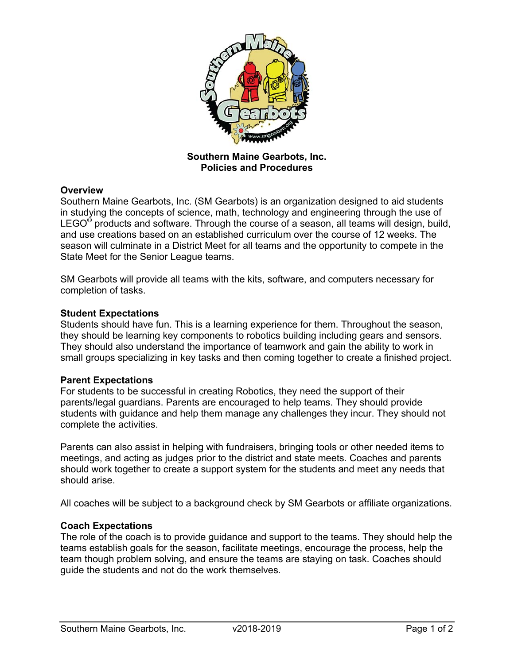

**Southern Maine Gearbots, Inc. Policies and Procedures**

## **Overview**

Southern Maine Gearbots, Inc. (SM Gearbots) is an organization designed to aid students in studying the concepts of science, math, technology and engineering through the use of LEGO $^\circ$  products and software. Through the course of a season, all teams will design, build, and use creations based on an established curriculum over the course of 12 weeks. The season will culminate in a District Meet for all teams and the opportunity to compete in the State Meet for the Senior League teams.

SM Gearbots will provide all teams with the kits, software, and computers necessary for completion of tasks.

#### **Student Expectations**

Students should have fun. This is a learning experience for them. Throughout the season, they should be learning key components to robotics building including gears and sensors. They should also understand the importance of teamwork and gain the ability to work in small groups specializing in key tasks and then coming together to create a finished project.

#### **Parent Expectations**

For students to be successful in creating Robotics, they need the support of their parents/legal guardians. Parents are encouraged to help teams. They should provide students with guidance and help them manage any challenges they incur. They should not complete the activities.

Parents can also assist in helping with fundraisers, bringing tools or other needed items to meetings, and acting as judges prior to the district and state meets. Coaches and parents should work together to create a support system for the students and meet any needs that should arise.

All coaches will be subject to a background check by SM Gearbots or affiliate organizations.

## **Coach Expectations**

The role of the coach is to provide guidance and support to the teams. They should help the teams establish goals for the season, facilitate meetings, encourage the process, help the team though problem solving, and ensure the teams are staying on task. Coaches should guide the students and not do the work themselves.